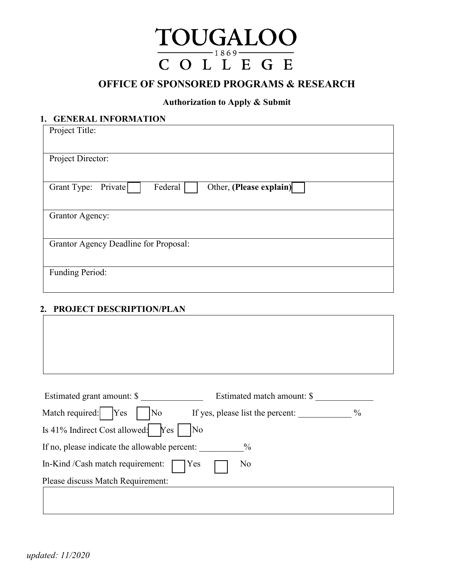

# **OFFICE OF SPONSORED PROGRAMS & RESEARCH**

#### **Authorization to Apply & Submit**

## **1. GENERAL INFORMATION**

| Project Title:                                               |  |  |  |  |
|--------------------------------------------------------------|--|--|--|--|
|                                                              |  |  |  |  |
| Project Director:                                            |  |  |  |  |
|                                                              |  |  |  |  |
| Federal<br>Other, (Please explain)<br>Private<br>Grant Type: |  |  |  |  |
|                                                              |  |  |  |  |
| <b>Grantor Agency:</b>                                       |  |  |  |  |
|                                                              |  |  |  |  |
| Grantor Agency Deadline for Proposal:                        |  |  |  |  |
|                                                              |  |  |  |  |
| Funding Period:                                              |  |  |  |  |
|                                                              |  |  |  |  |

#### **2. PROJECT DESCRIPTION/PLAN**

| Estimated grant amount: \$<br>Match required:   Yes<br>No | Estimated match amount: \$<br>If yes, please list the percent: | $\%$ |
|-----------------------------------------------------------|----------------------------------------------------------------|------|
|                                                           |                                                                |      |
| Is 41% Indirect Cost allowed:<br>$Yes \mid$               | $\overline{\rm No}$                                            |      |
| If no, please indicate the allowable percent:             | $\%$                                                           |      |
| In-Kind /Cash match requirement:                          | No<br>Yes                                                      |      |
| Please discuss Match Requirement:                         |                                                                |      |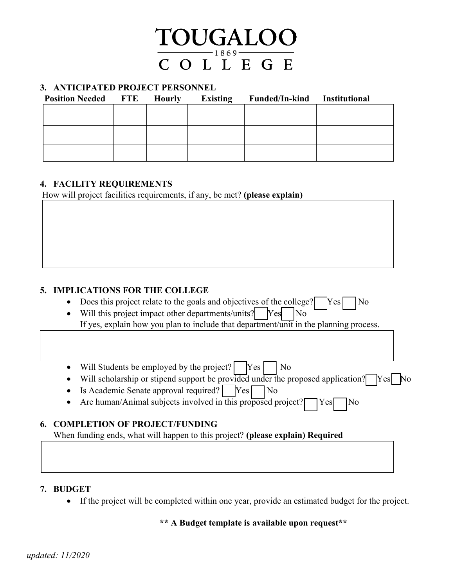

#### **3. ANTICIPATED PROJECT PERSONNEL**

| <b>Position Needed FTE</b> | <b>Hourly</b> | Existing | Funded/In-kind Institutional |  |
|----------------------------|---------------|----------|------------------------------|--|
|                            |               |          |                              |  |
|                            |               |          |                              |  |
|                            |               |          |                              |  |
|                            |               |          |                              |  |
|                            |               |          |                              |  |
|                            |               |          |                              |  |

#### **4. FACILITY REQUIREMENTS**

How will project facilities requirements, if any, be met? **(please explain)**

### **5. IMPLICATIONS FOR THE COLLEGE**

- Does this project relate to the goals and objectives of the college?  $\sqrt{\text{Yes}}$  No
- Will this project impact other departments/units? Yes No If yes, explain how you plan to include that department/unit in the planning process.

• Will Students be employed by the project?  $Yes \cap No$ 

- Will scholarship or stipend support be provided under the proposed application?  $\gamma$
- Is Academic Senate approval required? Yes No
- Are human/Animal subjects involved in this proposed project?  $Yes$  No

#### **6. COMPLETION OF PROJECT/FUNDING**

When funding ends, what will happen to this project? **(please explain) Required**

#### **7. BUDGET**

• If the project will be completed within one year, provide an estimated budget for the project.

#### **\*\* A Budget template is available upon request\*\***